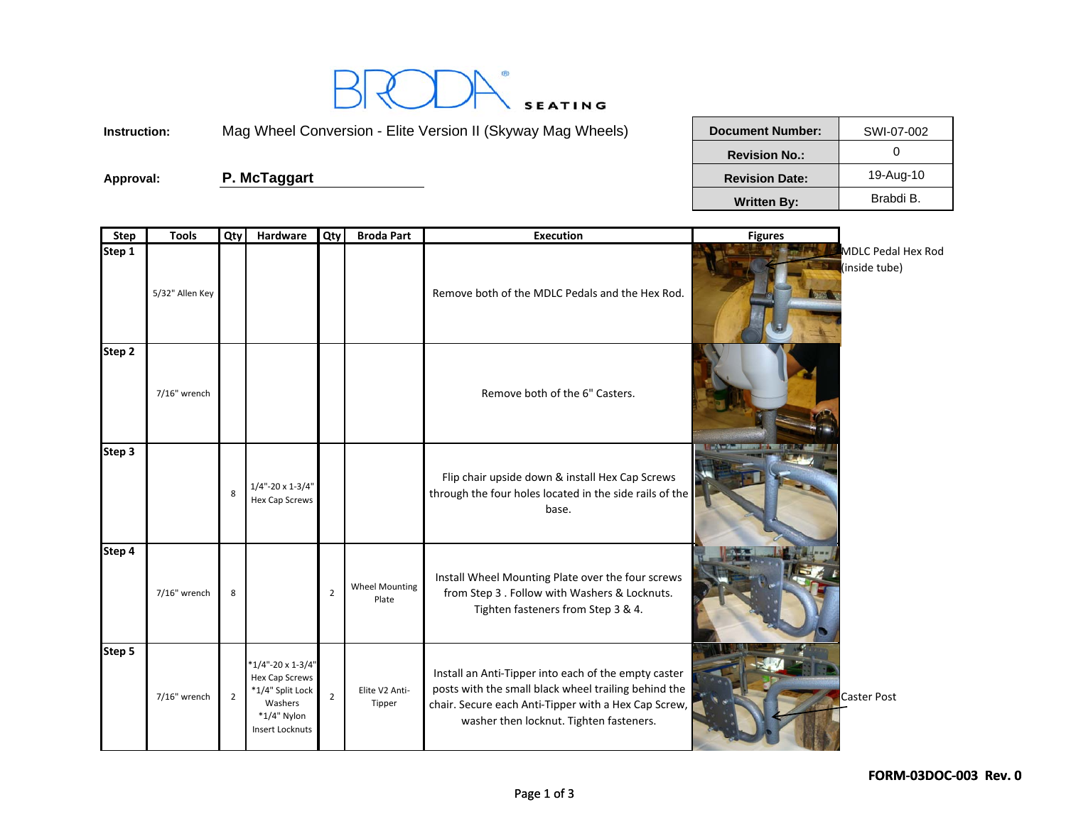

**Instruction:**

Mag Wheel Conversion - Elite Version II (Skyway Mag Wheels)

Approval: **P. McTaggart** 

| <b>Document Number:</b> | SWI-07-002 |
|-------------------------|------------|
| <b>Revision No.:</b>    |            |
| <b>Revision Date:</b>   | 19-Aug-10  |
| <b>Written By:</b>      | Brabdi B.  |

| <b>Step</b> | <b>Tools</b>    | Qty            | Hardware                                                                                                         | Qty            | <b>Broda Part</b>              | <b>Execution</b>                                                                                                                                                                                                | <b>Figures</b> |                                     |
|-------------|-----------------|----------------|------------------------------------------------------------------------------------------------------------------|----------------|--------------------------------|-----------------------------------------------------------------------------------------------------------------------------------------------------------------------------------------------------------------|----------------|-------------------------------------|
| Step 1      | 5/32" Allen Key |                |                                                                                                                  |                |                                | Remove both of the MDLC Pedals and the Hex Rod.                                                                                                                                                                 |                | MDLC Pedal Hex Rod<br>(inside tube) |
| Step 2      | 7/16" wrench    |                |                                                                                                                  |                |                                | Remove both of the 6" Casters.                                                                                                                                                                                  |                |                                     |
| Step 3      |                 | 8              | $1/4$ "-20 x 1-3/4"<br>Hex Cap Screws                                                                            |                |                                | Flip chair upside down & install Hex Cap Screws<br>through the four holes located in the side rails of the<br>base.                                                                                             |                |                                     |
| Step 4      | 7/16" wrench    | 8              |                                                                                                                  | $\overline{2}$ | <b>Wheel Mounting</b><br>Plate | Install Wheel Mounting Plate over the four screws<br>from Step 3 . Follow with Washers & Locknuts.<br>Tighten fasteners from Step 3 & 4.                                                                        |                |                                     |
| Step 5      | 7/16" wrench    | $\overline{2}$ | $*1/4$ "-20 x 1-3/4"<br>Hex Cap Screws<br>*1/4" Split Lock<br>Washers<br>$*1/4"$ Nylon<br><b>Insert Locknuts</b> | $\overline{2}$ | Elite V2 Anti-<br>Tipper       | Install an Anti-Tipper into each of the empty caster<br>posts with the small black wheel trailing behind the<br>chair. Secure each Anti-Tipper with a Hex Cap Screw,<br>washer then locknut. Tighten fasteners. |                | Caster Post                         |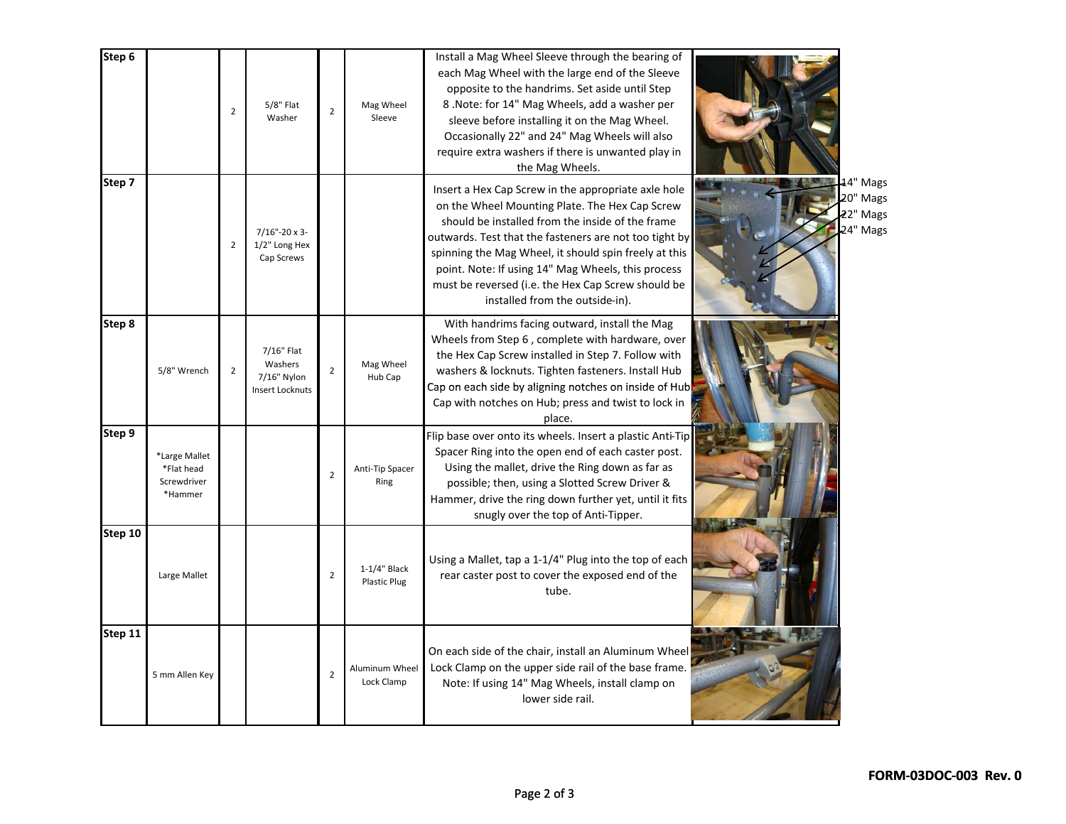| Step 6  |                                                       | $\overline{2}$ | $5/8"$ Flat<br>Washer                                          | $\overline{2}$ | Mag Wheel<br>Sleeve             | Install a Mag Wheel Sleeve through the bearing of<br>each Mag Wheel with the large end of the Sleeve<br>opposite to the handrims. Set aside until Step<br>8. Note: for 14" Mag Wheels, add a washer per<br>sleeve before installing it on the Mag Wheel.<br>Occasionally 22" and 24" Mag Wheels will also<br>require extra washers if there is unwanted play in<br>the Mag Wheels.                                          |                                             |
|---------|-------------------------------------------------------|----------------|----------------------------------------------------------------|----------------|---------------------------------|-----------------------------------------------------------------------------------------------------------------------------------------------------------------------------------------------------------------------------------------------------------------------------------------------------------------------------------------------------------------------------------------------------------------------------|---------------------------------------------|
| Step 7  |                                                       | $\overline{2}$ | 7/16"-20 x 3-<br>1/2" Long Hex<br>Cap Screws                   |                |                                 | Insert a Hex Cap Screw in the appropriate axle hole<br>on the Wheel Mounting Plate. The Hex Cap Screw<br>should be installed from the inside of the frame<br>outwards. Test that the fasteners are not too tight by<br>spinning the Mag Wheel, it should spin freely at this<br>point. Note: If using 14" Mag Wheels, this process<br>must be reversed (i.e. the Hex Cap Screw should be<br>installed from the outside-in). | 4" Mags<br>20" Mags<br>22" Mags<br>24" Mags |
| Step 8  | 5/8" Wrench                                           | $\overline{2}$ | 7/16" Flat<br>Washers<br>7/16" Nylon<br><b>Insert Locknuts</b> | $\overline{2}$ | Mag Wheel<br>Hub Cap            | With handrims facing outward, install the Mag<br>Wheels from Step 6, complete with hardware, over<br>the Hex Cap Screw installed in Step 7. Follow with<br>washers & locknuts. Tighten fasteners. Install Hub<br>Cap on each side by aligning notches on inside of Hub<br>Cap with notches on Hub; press and twist to lock in<br>place.                                                                                     |                                             |
| Step 9  | *Large Mallet<br>*Flat head<br>Screwdriver<br>*Hammer |                |                                                                | $\overline{2}$ | Anti-Tip Spacer<br>Ring         | Flip base over onto its wheels. Insert a plastic Anti-Tip<br>Spacer Ring into the open end of each caster post.<br>Using the mallet, drive the Ring down as far as<br>possible; then, using a Slotted Screw Driver &<br>Hammer, drive the ring down further yet, until it fits<br>snugly over the top of Anti-Tipper.                                                                                                       |                                             |
| Step 10 | Large Mallet                                          |                |                                                                | $\overline{2}$ | $1-1/4$ " Black<br>Plastic Plug | Using a Mallet, tap a 1-1/4" Plug into the top of each<br>rear caster post to cover the exposed end of the<br>tube.                                                                                                                                                                                                                                                                                                         |                                             |
| Step 11 | 5 mm Allen Key                                        |                |                                                                | $\overline{2}$ | Aluminum Wheel<br>Lock Clamp    | On each side of the chair, install an Aluminum Wheel<br>Lock Clamp on the upper side rail of the base frame.<br>Note: If using 14" Mag Wheels, install clamp on<br>lower side rail.                                                                                                                                                                                                                                         |                                             |